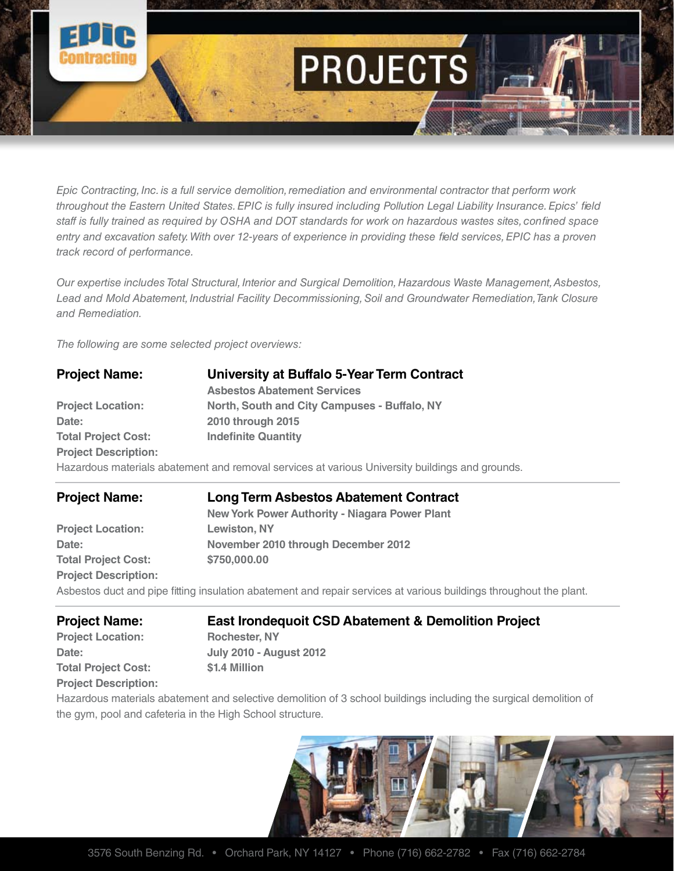

*Epic Contracting, Inc. is a full service demolition, remediation and environmental contractor that perform work throughout the Eastern United States. EPIC is fully insured including Pollution Legal Liability Insurance. Epics' field staff is fully trained as required by OSHA and DOT standards for work on hazardous wastes sites, confined space*  entry and excavation safety. With over 12-years of experience in providing these field services, EPIC has a proven *track record of performance.*

*Our expertise includes Total Structural, Interior and Surgical Demolition, Hazardous Waste Management, Asbestos, Lead and Mold Abatement, Industrial Facility Decommissioning, Soil and Groundwater Remediation, Tank Closure and Remediation.*

*The following are some selected project overviews:*

| <b>Project Name:</b>        | University at Buffalo 5-Year Term Contract                                                      |  |
|-----------------------------|-------------------------------------------------------------------------------------------------|--|
|                             | <b>Asbestos Abatement Services</b>                                                              |  |
| <b>Project Location:</b>    | North, South and City Campuses - Buffalo, NY                                                    |  |
| Date:                       | 2010 through 2015                                                                               |  |
| <b>Total Project Cost:</b>  | <b>Indefinite Quantity</b>                                                                      |  |
| <b>Project Description:</b> |                                                                                                 |  |
|                             | Hazardous materials abatement and removal services at various University buildings and grounds. |  |

| <b>Project Name:</b>        | <b>Long Term Asbestos Abatement Contract</b>                                                                       |  |
|-----------------------------|--------------------------------------------------------------------------------------------------------------------|--|
|                             | <b>New York Power Authority - Niagara Power Plant</b>                                                              |  |
| <b>Project Location:</b>    | <b>Lewiston, NY</b>                                                                                                |  |
| Date:                       | November 2010 through December 2012                                                                                |  |
| <b>Total Project Cost:</b>  | \$750,000.00                                                                                                       |  |
| <b>Project Description:</b> |                                                                                                                    |  |
|                             | Asbestos duct and pipe fitting insulation abatement and repair services at various buildings throughout the plant. |  |

| <b>Project Name:</b>       | <b>East Iron</b> |  |
|----------------------------|------------------|--|
| <b>Project Location:</b>   | Rochester,       |  |
| Date:                      | July 2010 -      |  |
| <b>Total Project Cost:</b> | \$1.4 Million    |  |

**Project Description:**

**East Irondequoit CSD Abatement & Demolition Project Rochester, NY Date: July 2010 - August 2012**

Hazardous materials abatement and selective demolition of 3 school buildings including the surgical demolition of the gym, pool and cafeteria in the High School structure.

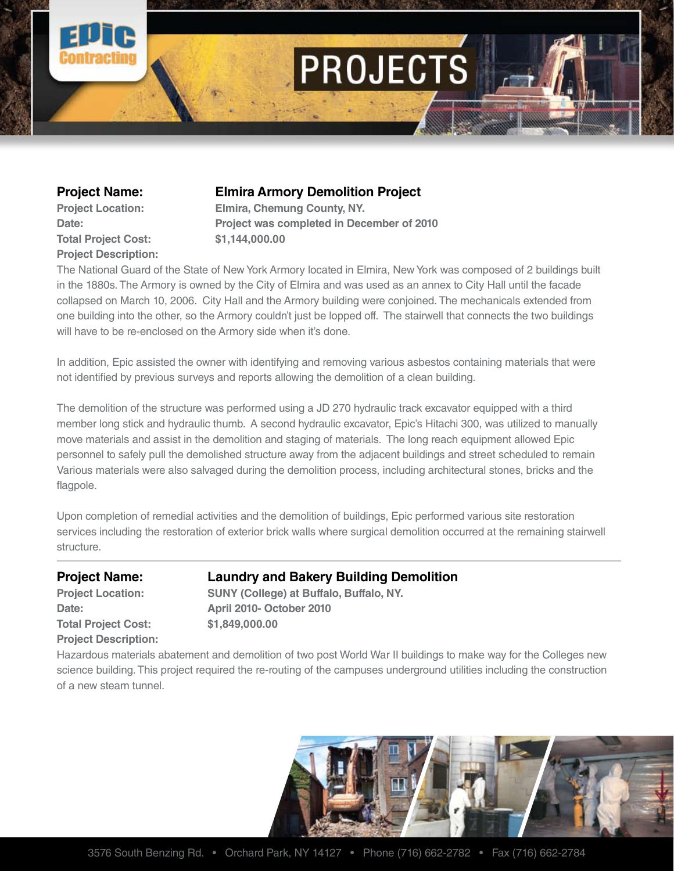

**Total Project Cost: \$1,144,000.00 Project Description:**

## **Project Name: Elmira Armory Demolition Project**

**Project Location: Elmira, Chemung County, NY. Date: Project was completed in December of 2010**

The National Guard of the State of New York Armory located in Elmira, New York was composed of 2 buildings built in the 1880s. The Armory is owned by the City of Elmira and was used as an annex to City Hall until the facade collapsed on March 10, 2006. City Hall and the Armory building were conjoined. The mechanicals extended from one building into the other, so the Armory couldn't just be lopped off. The stairwell that connects the two buildings will have to be re-enclosed on the Armory side when it's done.

In addition, Epic assisted the owner with identifying and removing various asbestos containing materials that were not identified by previous surveys and reports allowing the demolition of a clean building.

The demolition of the structure was performed using a JD 270 hydraulic track excavator equipped with a third member long stick and hydraulic thumb. A second hydraulic excavator, Epic's Hitachi 300, was utilized to manually move materials and assist in the demolition and staging of materials. The long reach equipment allowed Epic personnel to safely pull the demolished structure away from the adjacent buildings and street scheduled to remain Various materials were also salvaged during the demolition process, including architectural stones, bricks and the flagpole.

Upon completion of remedial activities and the demolition of buildings, Epic performed various site restoration services including the restoration of exterior brick walls where surgical demolition occurred at the remaining stairwell structure.

**Total Project Cost: \$1,849,000.00 Project Description:**

### **Project Name: Laundry and Bakery Building Demolition**

**Project Location: SUNY (College) at Buffalo, Buffalo, NY. Date: April 2010- October 2010** 

Hazardous materials abatement and demolition of two post World War II buildings to make way for the Colleges new science building. This project required the re-routing of the campuses underground utilities including the construction of a new steam tunnel.